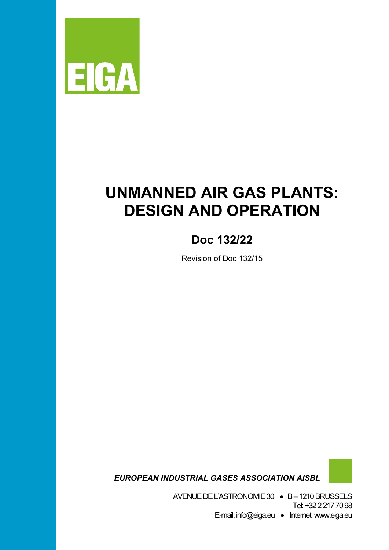

# **UNMANNED AIR GAS PLANTS: DESIGN AND OPERATION**

# **Doc 132/22**

Revision of Doc 132/15

 *EUROPEAN INDUSTRIAL GASES ASSOCIATION AISBL*

AVENUE DEL'ASTRONOMIE 30 • B –1210 BRUSSELS Tel: +32 2 217 70 98 E-mail: info@eiga.eu • Internet:www.eiga.eu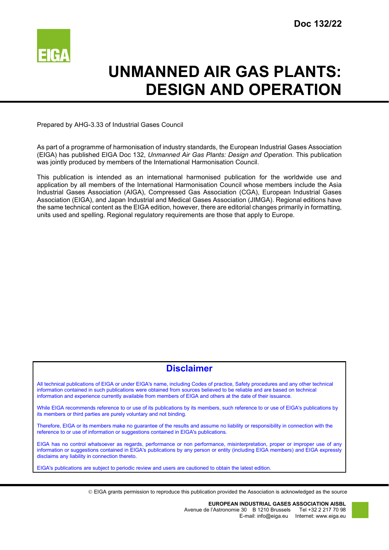

# **UNMANNED AIR GAS PLANTS: DESIGN AND OPERATION**

Prepared by AHG-3.33 of Industrial Gases Council

As part of a programme of harmonisation of industry standards, the European Industrial Gases Association (EIGA) has published EIGA Doc 132, *Unmanned Air Gas Plants: Design and Operation*. This publication was jointly produced by members of the International Harmonisation Council.

This publication is intended as an international harmonised publication for the worldwide use and application by all members of the International Harmonisation Council whose members include the Asia Industrial Gases Association (AIGA), Compressed Gas Association (CGA), European Industrial Gases Association (EIGA), and Japan Industrial and Medical Gases Association (JIMGA). Regional editions have the same technical content as the EIGA edition, however, there are editorial changes primarily in formatting, units used and spelling. Regional regulatory requirements are those that apply to Europe.

# **Disclaimer**

All technical publications of EIGA or under EIGA's name, including Codes of practice, Safety procedures and any other technical information contained in such publications were obtained from sources believed to be reliable and are based on technical information and experience currently available from members of EIGA and others at the date of their issuance.

While EIGA recommends reference to or use of its publications by its members, such reference to or use of EIGA's publications by its members or third parties are purely voluntary and not binding.

Therefore, EIGA or its members make no guarantee of the results and assume no liability or responsibility in connection with the reference to or use of information or suggestions contained in EIGA's publications.

EIGA has no control whatsoever as regards, performance or non performance, misinterpretation, proper or improper use of any information or suggestions contained in EIGA's publications by any person or entity (including EIGA members) and EIGA expressly disclaims any liability in connection thereto.

EIGA's publications are subject to periodic review and users are cautioned to obtain the latest edition.

EIGA grants permission to reproduce this publication provided the Association is acknowledged as the source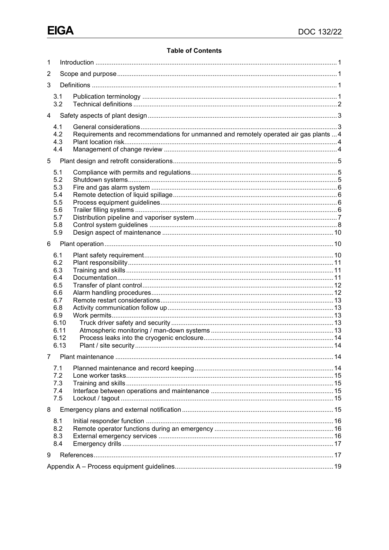# **Table of Contents**

| 1              |                                                                                     |                                                                                       |  |  |  |  |  |
|----------------|-------------------------------------------------------------------------------------|---------------------------------------------------------------------------------------|--|--|--|--|--|
| 2              |                                                                                     |                                                                                       |  |  |  |  |  |
| 3              |                                                                                     |                                                                                       |  |  |  |  |  |
|                | 3.1<br>3.2                                                                          |                                                                                       |  |  |  |  |  |
| $\overline{4}$ |                                                                                     |                                                                                       |  |  |  |  |  |
|                | 4.1                                                                                 |                                                                                       |  |  |  |  |  |
|                | 4.2<br>4.3<br>4.4                                                                   | Requirements and recommendations for unmanned and remotely operated air gas plants  4 |  |  |  |  |  |
| 5              |                                                                                     |                                                                                       |  |  |  |  |  |
|                | 5.1<br>5.2<br>5.3<br>5.4<br>5.5<br>5.6<br>5.7<br>5.8                                |                                                                                       |  |  |  |  |  |
| 6              | 5.9                                                                                 |                                                                                       |  |  |  |  |  |
|                | 6.1<br>6.2<br>6.3<br>6.4<br>6.5<br>6.6<br>6.7<br>6.8<br>6.9<br>6.10<br>6.11<br>6.12 |                                                                                       |  |  |  |  |  |
|                | 6.13                                                                                |                                                                                       |  |  |  |  |  |
| 7              | 7.1<br>7.2<br>7.3<br>7.4<br>7.5                                                     |                                                                                       |  |  |  |  |  |
| 8              |                                                                                     |                                                                                       |  |  |  |  |  |
|                | 8.1<br>8.2<br>8.3<br>8.4                                                            |                                                                                       |  |  |  |  |  |
| 9              |                                                                                     |                                                                                       |  |  |  |  |  |
|                |                                                                                     |                                                                                       |  |  |  |  |  |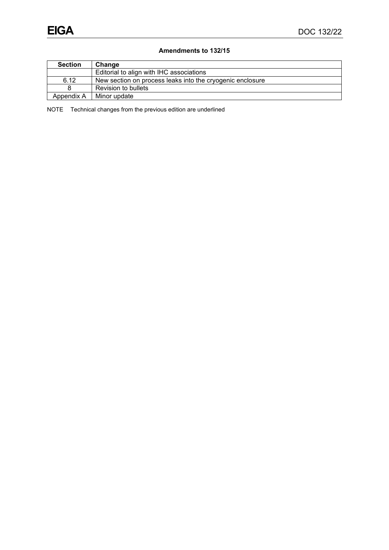# **Amendments to 132/15**

| <b>Section</b> | Change                                                    |  |  |
|----------------|-----------------------------------------------------------|--|--|
|                | Editorial to align with IHC associations                  |  |  |
| 6.12           | New section on process leaks into the cryogenic enclosure |  |  |
|                | Revision to bullets                                       |  |  |
| Appendix A     | Minor update                                              |  |  |

NOTE Technical changes from the previous edition are underlined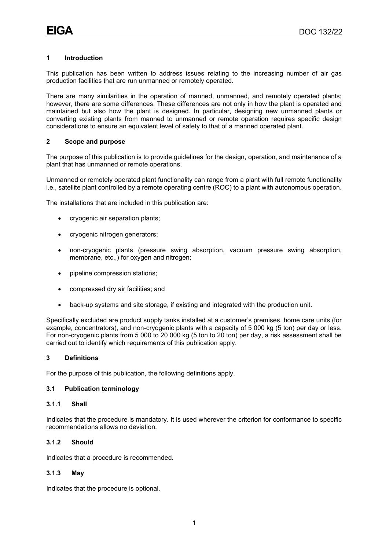# <span id="page-4-0"></span>**1 Introduction**

This publication has been written to address issues relating to the increasing number of air gas production facilities that are run unmanned or remotely operated.

There are many similarities in the operation of manned, unmanned, and remotely operated plants; however, there are some differences. These differences are not only in how the plant is operated and maintained but also how the plant is designed. In particular, designing new unmanned plants or converting existing plants from manned to unmanned or remote operation requires specific design considerations to ensure an equivalent level of safety to that of a manned operated plant.

### <span id="page-4-1"></span>**2 Scope and purpose**

The purpose of this publication is to provide guidelines for the design, operation, and maintenance of a plant that has unmanned or remote operations.

Unmanned or remotely operated plant functionality can range from a plant with full remote functionality i.e., satellite plant controlled by a remote operating centre (ROC) to a plant with autonomous operation.

The installations that are included in this publication are:

- cryogenic air separation plants;
- cryogenic nitrogen generators;
- non-cryogenic plants (pressure swing absorption, vacuum pressure swing absorption, membrane, etc.,) for oxygen and nitrogen;
- pipeline compression stations;
- compressed dry air facilities; and
- back-up systems and site storage, if existing and integrated with the production unit.

Specifically excluded are product supply tanks installed at a customer's premises, home care units (for example, concentrators), and non-cryogenic plants with a capacity of 5 000 kg (5 ton) per day or less. For non-cryogenic plants from 5 000 to 20 000 kg (5 ton to 20 ton) per day, a risk assessment shall be carried out to identify which requirements of this publication apply.

#### <span id="page-4-2"></span>**3 Definitions**

For the purpose of this publication, the following definitions apply.

# <span id="page-4-3"></span>**3.1 Publication terminology**

### **3.1.1 Shall**

Indicates that the procedure is mandatory. It is used wherever the criterion for conformance to specific recommendations allows no deviation.

### **3.1.2 Should**

Indicates that a procedure is recommended.

#### **3.1.3 May**

Indicates that the procedure is optional.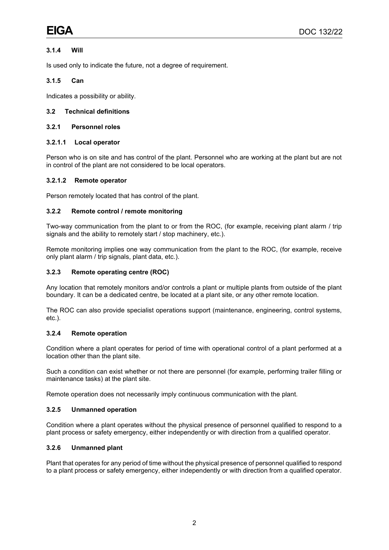# **3.1.4 Will**

Is used only to indicate the future, not a degree of requirement.

# **3.1.5 Can**

Indicates a possibility or ability.

# <span id="page-5-0"></span>**3.2 Technical definitions**

### **3.2.1 Personnel roles**

### **3.2.1.1 Local operator**

Person who is on site and has control of the plant. Personnel who are working at the plant but are not in control of the plant are not considered to be local operators.

### **3.2.1.2 Remote operator**

Person remotely located that has control of the plant.

### **3.2.2 Remote control / remote monitoring**

Two-way communication from the plant to or from the ROC, (for example, receiving plant alarm / trip signals and the ability to remotely start / stop machinery, etc.).

Remote monitoring implies one way communication from the plant to the ROC, (for example, receive only plant alarm / trip signals, plant data, etc.).

### **3.2.3 Remote operating centre (ROC)**

Any location that remotely monitors and/or controls a plant or multiple plants from outside of the plant boundary. It can be a dedicated centre, be located at a plant site, or any other remote location.

The ROC can also provide specialist operations support (maintenance, engineering, control systems, etc.).

#### **3.2.4 Remote operation**

Condition where a plant operates for period of time with operational control of a plant performed at a location other than the plant site.

Such a condition can exist whether or not there are personnel (for example, performing trailer filling or maintenance tasks) at the plant site.

Remote operation does not necessarily imply continuous communication with the plant.

#### **3.2.5 Unmanned operation**

Condition where a plant operates without the physical presence of personnel qualified to respond to a plant process or safety emergency, either independently or with direction from a qualified operator.

# **3.2.6 Unmanned plant**

Plant that operates for any period of time without the physical presence of personnel qualified to respond to a plant process or safety emergency, either independently or with direction from a qualified operator.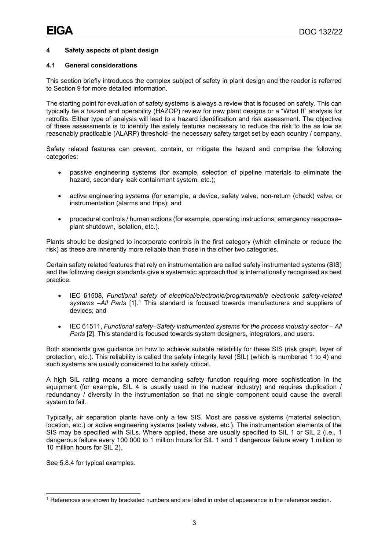# <span id="page-6-0"></span>**4 Safety aspects of plant design**

# <span id="page-6-1"></span>**4.1 General considerations**

This section briefly introduces the complex subject of safety in plant design and the reader is referred to Section 9 for more detailed information.

The starting point for evaluation of safety systems is always a review that is focused on safety. This can typically be a hazard and operability (HAZOP) review for new plant designs or a "What If" analysis for retrofits. Either type of analysis will lead to a hazard identification and risk assessment. The objective of these assessments is to identify the safety features necessary to reduce the risk to the as low as reasonably practicable (ALARP) threshold–the necessary safety target set by each country / company.

Safety related features can prevent, contain, or mitigate the hazard and comprise the following categories:

- passive engineering systems (for example, selection of pipeline materials to eliminate the hazard, secondary leak containment system, etc.);
- active engineering systems (for example, a device, safety valve, non-return (check) valve, or instrumentation (alarms and trips); and
- procedural controls / human actions (for example, operating instructions, emergency response– plant shutdown, isolation, etc.).

Plants should be designed to incorporate controls in the first category (which eliminate or reduce the risk) as these are inherently more reliable than those in the other two categories.

Certain safety related features that rely on instrumentation are called safety instrumented systems (SIS) and the following design standards give a systematic approach that is internationally recognised as best practice:

- IEC 61508, *Functional safety of electrical/electronic/programmable electronic safety-related systems –All Parts* [1].[1](#page-6-2) This standard is focused towards manufacturers and suppliers of devices; and
- IEC 61511, *Functional safety–Safety instrumented systems for the process industry sector – All Parts* [2]. This standard is focused towards system designers, integrators, and users.

Both standards give guidance on how to achieve suitable reliability for these SIS (risk graph, layer of protection, etc.). This reliability is called the safety integrity level (SIL) (which is numbered 1 to 4) and such systems are usually considered to be safety critical.

A high SIL rating means a more demanding safety function requiring more sophistication in the equipment (for example, SIL 4 is usually used in the nuclear industry) and requires duplication / redundancy / diversity in the instrumentation so that no single component could cause the overall system to fail.

Typically, air separation plants have only a few SIS. Most are passive systems (material selection, location, etc.) or active engineering systems (safety valves, etc.). The instrumentation elements of the SIS may be specified with SILs. Where applied, these are usually specified to SIL 1 or SIL 2 (i.e., 1 dangerous failure every 100 000 to 1 million hours for SIL 1 and 1 dangerous failure every 1 million to 10 million hours for SIL 2).

See 5.8.4 for typical examples.

<span id="page-6-2"></span><sup>&</sup>lt;sup>1</sup> References are shown by bracketed numbers and are listed in order of appearance in the reference section.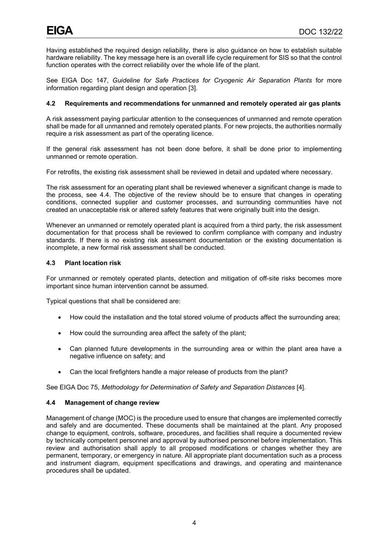Having established the required design reliability, there is also guidance on how to establish suitable hardware reliability. The key message here is an overall life cycle requirement for SIS so that the control function operates with the correct reliability over the whole life of the plant.

See EIGA Doc 147, *Guideline for Safe Practices for Cryogenic Air Separation Plants* for more information regarding plant design and operation [3].

# <span id="page-7-0"></span>**4.2 Requirements and recommendations for unmanned and remotely operated air gas plants**

A risk assessment paying particular attention to the consequences of unmanned and remote operation shall be made for all unmanned and remotely operated plants. For new projects, the authorities normally require a risk assessment as part of the operating licence.

If the general risk assessment has not been done before, it shall be done prior to implementing unmanned or remote operation.

For retrofits, the existing risk assessment shall be reviewed in detail and updated where necessary.

The risk assessment for an operating plant shall be reviewed whenever a significant change is made to the process, see 4.4. The objective of the review should be to ensure that changes in operating conditions, connected supplier and customer processes, and surrounding communities have not created an unacceptable risk or altered safety features that were originally built into the design.

Whenever an unmanned or remotely operated plant is acquired from a third party, the risk assessment documentation for that process shall be reviewed to confirm compliance with company and industry standards. If there is no existing risk assessment documentation or the existing documentation is incomplete, a new formal risk assessment shall be conducted.

# <span id="page-7-1"></span>**4.3 Plant location risk**

For unmanned or remotely operated plants, detection and mitigation of off-site risks becomes more important since human intervention cannot be assumed.

Typical questions that shall be considered are:

- How could the installation and the total stored volume of products affect the surrounding area;
- How could the surrounding area affect the safety of the plant;
- Can planned future developments in the surrounding area or within the plant area have a negative influence on safety; and
- Can the local firefighters handle a major release of products from the plant?

See EIGA Doc 75, *Methodology for Determination of Safety and Separation Distances* [4].

# <span id="page-7-2"></span>**4.4 Management of change review**

Management of change (MOC) is the procedure used to ensure that changes are implemented correctly and safely and are documented. These documents shall be maintained at the plant. Any proposed change to equipment, controls, software, procedures, and facilities shall require a documented review by technically competent personnel and approval by authorised personnel before implementation. This review and authorisation shall apply to all proposed modifications or changes whether they are permanent, temporary, or emergency in nature. All appropriate plant documentation such as a process and instrument diagram, equipment specifications and drawings, and operating and maintenance procedures shall be updated.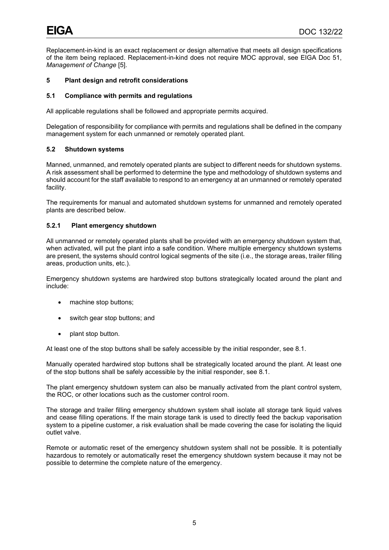Replacement-in-kind is an exact replacement or design alternative that meets all design specifications of the item being replaced. Replacement-in-kind does not require MOC approval, see EIGA Doc 51, *Management of Change* [5].

# <span id="page-8-0"></span>**5 Plant design and retrofit considerations**

# <span id="page-8-1"></span>**5.1 Compliance with permits and regulations**

All applicable regulations shall be followed and appropriate permits acquired.

Delegation of responsibility for compliance with permits and regulations shall be defined in the company management system for each unmanned or remotely operated plant.

# <span id="page-8-2"></span>**5.2 Shutdown systems**

Manned, unmanned, and remotely operated plants are subject to different needs for shutdown systems. A risk assessment shall be performed to determine the type and methodology of shutdown systems and should account for the staff available to respond to an emergency at an unmanned or remotely operated facility.

The requirements for manual and automated shutdown systems for unmanned and remotely operated plants are described below.

### **5.2.1 Plant emergency shutdown**

All unmanned or remotely operated plants shall be provided with an emergency shutdown system that, when activated, will put the plant into a safe condition. Where multiple emergency shutdown systems are present, the systems should control logical segments of the site (i.e., the storage areas, trailer filling areas, production units, etc.).

Emergency shutdown systems are hardwired stop buttons strategically located around the plant and include:

- machine stop buttons;
- switch gear stop buttons; and
- plant stop button.

At least one of the stop buttons shall be safely accessible by the initial responder, see 8.1.

Manually operated hardwired stop buttons shall be strategically located around the plant. At least one of the stop buttons shall be safely accessible by the initial responder, see 8.1.

The plant emergency shutdown system can also be manually activated from the plant control system, the ROC, or other locations such as the customer control room.

The storage and trailer filling emergency shutdown system shall isolate all storage tank liquid valves and cease filling operations. If the main storage tank is used to directly feed the backup vaporisation system to a pipeline customer, a risk evaluation shall be made covering the case for isolating the liquid outlet valve.

Remote or automatic reset of the emergency shutdown system shall not be possible. It is potentially hazardous to remotely or automatically reset the emergency shutdown system because it may not be possible to determine the complete nature of the emergency.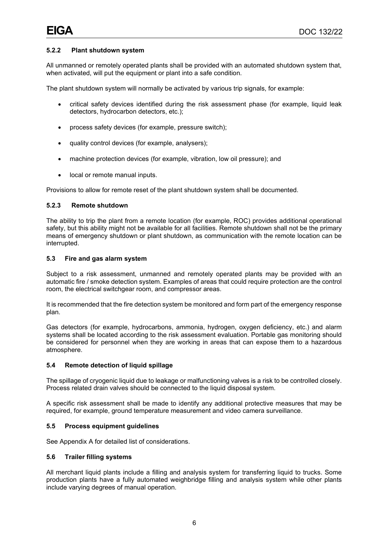# **5.2.2 Plant shutdown system**

All unmanned or remotely operated plants shall be provided with an automated shutdown system that, when activated, will put the equipment or plant into a safe condition.

The plant shutdown system will normally be activated by various trip signals, for example:

- critical safety devices identified during the risk assessment phase (for example, liquid leak detectors, hydrocarbon detectors, etc.);
- process safety devices (for example, pressure switch);
- quality control devices (for example, analysers);
- machine protection devices (for example, vibration, low oil pressure); and
- local or remote manual inputs.

Provisions to allow for remote reset of the plant shutdown system shall be documented.

#### **5.2.3 Remote shutdown**

The ability to trip the plant from a remote location (for example, ROC) provides additional operational safety, but this ability might not be available for all facilities. Remote shutdown shall not be the primary means of emergency shutdown or plant shutdown, as communication with the remote location can be interrupted.

#### <span id="page-9-0"></span>**5.3 Fire and gas alarm system**

Subject to a risk assessment, unmanned and remotely operated plants may be provided with an automatic fire / smoke detection system. Examples of areas that could require protection are the control room, the electrical switchgear room, and compressor areas.

It is recommended that the fire detection system be monitored and form part of the emergency response plan.

Gas detectors (for example, hydrocarbons, ammonia, hydrogen, oxygen deficiency, etc.) and alarm systems shall be located according to the risk assessment evaluation. Portable gas monitoring should be considered for personnel when they are working in areas that can expose them to a hazardous atmosphere.

#### <span id="page-9-1"></span>**5.4 Remote detection of liquid spillage**

The spillage of cryogenic liquid due to leakage or malfunctioning valves is a risk to be controlled closely. Process related drain valves should be connected to the liquid disposal system.

A specific risk assessment shall be made to identify any additional protective measures that may be required, for example, ground temperature measurement and video camera surveillance.

# <span id="page-9-2"></span>**5.5 Process equipment guidelines**

See Appendix A for detailed list of considerations.

# <span id="page-9-3"></span>**5.6 Trailer filling systems**

All merchant liquid plants include a filling and analysis system for transferring liquid to trucks. Some production plants have a fully automated weighbridge filling and analysis system while other plants include varying degrees of manual operation.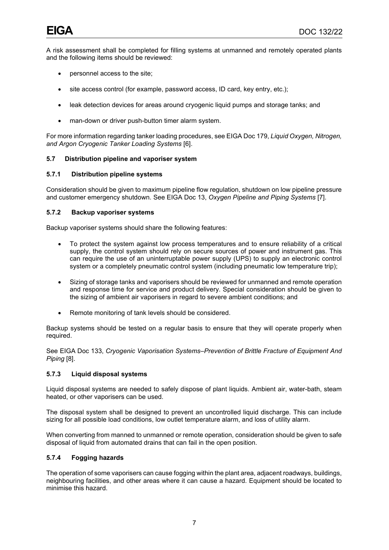A risk assessment shall be completed for filling systems at unmanned and remotely operated plants and the following items should be reviewed:

- personnel access to the site;
- site access control (for example, password access, ID card, key entry, etc.);
- leak detection devices for areas around cryogenic liquid pumps and storage tanks; and
- man-down or driver push-button timer alarm system.

For more information regarding tanker loading procedures, see EIGA Doc 179, *Liquid Oxygen, Nitrogen, and Argon Cryogenic Tanker Loading Systems* [6].

# <span id="page-10-0"></span>**5.7 Distribution pipeline and vaporiser system**

# **5.7.1 Distribution pipeline systems**

Consideration should be given to maximum pipeline flow regulation, shutdown on low pipeline pressure and customer emergency shutdown. See EIGA Doc 13, *Oxygen Pipeline and Piping Systems* [7].

# **5.7.2 Backup vaporiser systems**

Backup vaporiser systems should share the following features:

- To protect the system against low process temperatures and to ensure reliability of a critical supply, the control system should rely on secure sources of power and instrument gas. This can require the use of an uninterruptable power supply (UPS) to supply an electronic control system or a completely pneumatic control system (including pneumatic low temperature trip);
- Sizing of storage tanks and vaporisers should be reviewed for unmanned and remote operation and response time for service and product delivery. Special consideration should be given to the sizing of ambient air vaporisers in regard to severe ambient conditions; and
- Remote monitoring of tank levels should be considered.

Backup systems should be tested on a regular basis to ensure that they will operate properly when required.

See EIGA Doc 133, *Cryogenic Vaporisation Systems–Prevention of Brittle Fracture of Equipment And Piping* [8].

# **5.7.3 Liquid disposal systems**

Liquid disposal systems are needed to safely dispose of plant liquids. Ambient air, water-bath, steam heated, or other vaporisers can be used.

The disposal system shall be designed to prevent an uncontrolled liquid discharge. This can include sizing for all possible load conditions, low outlet temperature alarm, and loss of utility alarm.

When converting from manned to unmanned or remote operation, consideration should be given to safe disposal of liquid from automated drains that can fail in the open position.

# **5.7.4 Fogging hazards**

The operation of some vaporisers can cause fogging within the plant area, adjacent roadways, buildings, neighbouring facilities, and other areas where it can cause a hazard. Equipment should be located to minimise this hazard.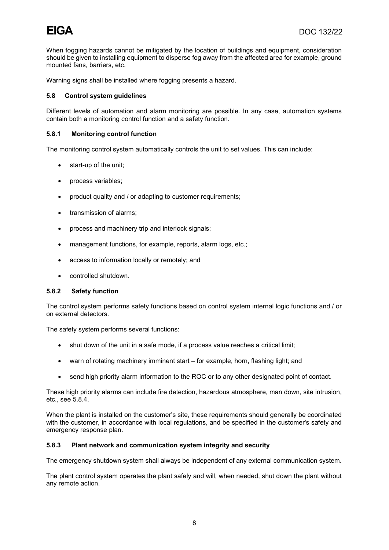When fogging hazards cannot be mitigated by the location of buildings and equipment, consideration should be given to installing equipment to disperse fog away from the affected area for example, ground mounted fans, barriers, etc.

Warning signs shall be installed where fogging presents a hazard.

# <span id="page-11-0"></span>**5.8 Control system guidelines**

Different levels of automation and alarm monitoring are possible. In any case, automation systems contain both a monitoring control function and a safety function.

#### **5.8.1 Monitoring control function**

The monitoring control system automatically controls the unit to set values. This can include:

- start-up of the unit;
- process variables;
- product quality and / or adapting to customer requirements;
- transmission of alarms;
- process and machinery trip and interlock signals;
- management functions, for example, reports, alarm logs, etc.;
- access to information locally or remotely; and
- controlled shutdown.

#### **5.8.2 Safety function**

The control system performs safety functions based on control system internal logic functions and / or on external detectors.

The safety system performs several functions:

- shut down of the unit in a safe mode, if a process value reaches a critical limit;
- warn of rotating machinery imminent start for example, horn, flashing light; and
- send high priority alarm information to the ROC or to any other designated point of contact.

These high priority alarms can include fire detection, hazardous atmosphere, man down, site intrusion, etc., see 5.8.4.

When the plant is installed on the customer's site, these requirements should generally be coordinated with the customer, in accordance with local regulations, and be specified in the customer's safety and emergency response plan.

### **5.8.3 Plant network and communication system integrity and security**

The emergency shutdown system shall always be independent of any external communication system.

The plant control system operates the plant safely and will, when needed, shut down the plant without any remote action.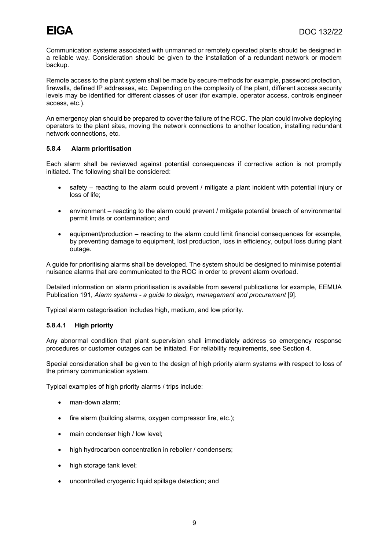Communication systems associated with unmanned or remotely operated plants should be designed in a reliable way. Consideration should be given to the installation of a redundant network or modem backup.

Remote access to the plant system shall be made by secure methods for example, password protection, firewalls, defined IP addresses, etc. Depending on the complexity of the plant, different access security levels may be identified for different classes of user (for example, operator access, controls engineer access, etc.).

An emergency plan should be prepared to cover the failure of the ROC. The plan could involve deploying operators to the plant sites, moving the network connections to another location, installing redundant network connections, etc.

# **5.8.4 Alarm prioritisation**

Each alarm shall be reviewed against potential consequences if corrective action is not promptly initiated. The following shall be considered:

- safety reacting to the alarm could prevent / mitigate a plant incident with potential injury or loss of life;
- environment reacting to the alarm could prevent / mitigate potential breach of environmental permit limits or contamination; and
- equipment/production reacting to the alarm could limit financial consequences for example, by preventing damage to equipment, lost production, loss in efficiency, output loss during plant outage.

A guide for prioritising alarms shall be developed. The system should be designed to minimise potential nuisance alarms that are communicated to the ROC in order to prevent alarm overload.

Detailed information on alarm prioritisation is available from several publications for example, EEMUA Publication 191, *Alarm systems - a guide to design, management and procurement* [9].

Typical alarm categorisation includes high, medium, and low priority.

# **5.8.4.1 High priority**

Any abnormal condition that plant supervision shall immediately address so emergency response procedures or customer outages can be initiated. For reliability requirements, see Section 4.

Special consideration shall be given to the design of high priority alarm systems with respect to loss of the primary communication system.

Typical examples of high priority alarms / trips include:

- man-down alarm;
- fire alarm (building alarms, oxygen compressor fire, etc.);
- main condenser high / low level;
- high hydrocarbon concentration in reboiler / condensers;
- high storage tank level;
- uncontrolled cryogenic liquid spillage detection; and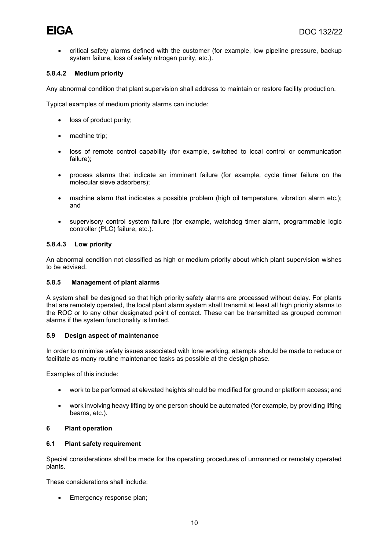• critical safety alarms defined with the customer (for example, low pipeline pressure, backup system failure, loss of safety nitrogen purity, etc.).

# **5.8.4.2 Medium priority**

Any abnormal condition that plant supervision shall address to maintain or restore facility production.

Typical examples of medium priority alarms can include:

- loss of product purity;
- machine trip;
- loss of remote control capability (for example, switched to local control or communication failure);
- process alarms that indicate an imminent failure (for example, cycle timer failure on the molecular sieve adsorbers);
- machine alarm that indicates a possible problem (high oil temperature, vibration alarm etc.); and
- supervisory control system failure (for example, watchdog timer alarm, programmable logic controller (PLC) failure, etc.).

# **5.8.4.3 Low priority**

An abnormal condition not classified as high or medium priority about which plant supervision wishes to be advised.

#### **5.8.5 Management of plant alarms**

A system shall be designed so that high priority safety alarms are processed without delay. For plants that are remotely operated, the local plant alarm system shall transmit at least all high priority alarms to the ROC or to any other designated point of contact. These can be transmitted as grouped common alarms if the system functionality is limited.

#### <span id="page-13-0"></span>**5.9 Design aspect of maintenance**

In order to minimise safety issues associated with lone working, attempts should be made to reduce or facilitate as many routine maintenance tasks as possible at the design phase.

Examples of this include:

- work to be performed at elevated heights should be modified for ground or platform access; and
- work involving heavy lifting by one person should be automated (for example, by providing lifting beams, etc.).

#### <span id="page-13-1"></span>**6 Plant operation**

#### <span id="page-13-2"></span>**6.1 Plant safety requirement**

Special considerations shall be made for the operating procedures of unmanned or remotely operated plants.

These considerations shall include:

• Emergency response plan;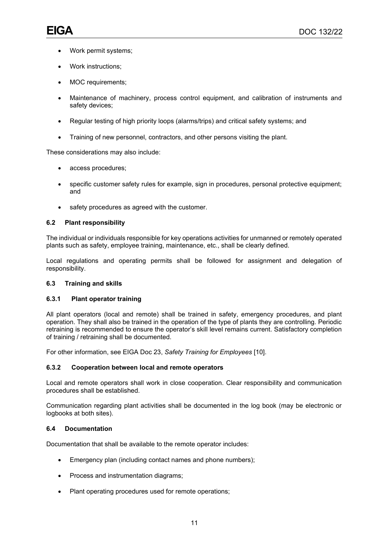- Work permit systems;
- Work instructions;
- MOC requirements;
- Maintenance of machinery, process control equipment, and calibration of instruments and safety devices;
- Regular testing of high priority loops (alarms/trips) and critical safety systems; and
- Training of new personnel, contractors, and other persons visiting the plant.

These considerations may also include:

- access procedures;
- specific customer safety rules for example, sign in procedures, personal protective equipment; and
- safety procedures as agreed with the customer.

### <span id="page-14-0"></span>**6.2 Plant responsibility**

The individual or individuals responsible for key operations activities for unmanned or remotely operated plants such as safety, employee training, maintenance, etc., shall be clearly defined.

Local regulations and operating permits shall be followed for assignment and delegation of responsibility.

#### <span id="page-14-1"></span>**6.3 Training and skills**

#### **6.3.1 Plant operator training**

All plant operators (local and remote) shall be trained in safety, emergency procedures, and plant operation. They shall also be trained in the operation of the type of plants they are controlling. Periodic retraining is recommended to ensure the operator's skill level remains current. Satisfactory completion of training / retraining shall be documented.

For other information, see EIGA Doc 23, *Safety Training for Employees* [10].

# **6.3.2 Cooperation between local and remote operators**

Local and remote operators shall work in close cooperation. Clear responsibility and communication procedures shall be established.

Communication regarding plant activities shall be documented in the log book (may be electronic or logbooks at both sites).

# <span id="page-14-2"></span>**6.4 Documentation**

Documentation that shall be available to the remote operator includes:

- Emergency plan (including contact names and phone numbers);
- Process and instrumentation diagrams;
- Plant operating procedures used for remote operations;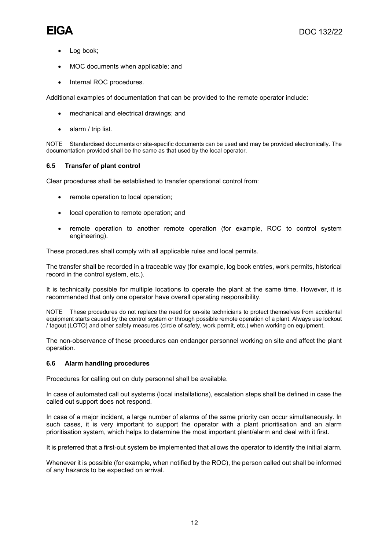- Log book;
- MOC documents when applicable; and
- Internal ROC procedures.

Additional examples of documentation that can be provided to the remote operator include:

- mechanical and electrical drawings; and
- alarm / trip list.

NOTE Standardised documents or site-specific documents can be used and may be provided electronically. The documentation provided shall be the same as that used by the local operator.

# <span id="page-15-0"></span>**6.5 Transfer of plant control**

Clear procedures shall be established to transfer operational control from:

- remote operation to local operation;
- local operation to remote operation; and
- remote operation to another remote operation (for example, ROC to control system engineering).

These procedures shall comply with all applicable rules and local permits.

The transfer shall be recorded in a traceable way (for example, log book entries, work permits, historical record in the control system, etc.).

It is technically possible for multiple locations to operate the plant at the same time. However, it is recommended that only one operator have overall operating responsibility.

NOTE These procedures do not replace the need for on-site technicians to protect themselves from accidental equipment starts caused by the control system or through possible remote operation of a plant. Always use lockout / tagout (LOTO) and other safety measures (circle of safety, work permit, etc.) when working on equipment.

The non-observance of these procedures can endanger personnel working on site and affect the plant operation.

# <span id="page-15-1"></span>**6.6 Alarm handling procedures**

Procedures for calling out on duty personnel shall be available.

In case of automated call out systems (local installations), escalation steps shall be defined in case the called out support does not respond.

In case of a major incident, a large number of alarms of the same priority can occur simultaneously. In such cases, it is very important to support the operator with a plant prioritisation and an alarm prioritisation system, which helps to determine the most important plant/alarm and deal with it first.

It is preferred that a first-out system be implemented that allows the operator to identify the initial alarm.

Whenever it is possible (for example, when notified by the ROC), the person called out shall be informed of any hazards to be expected on arrival.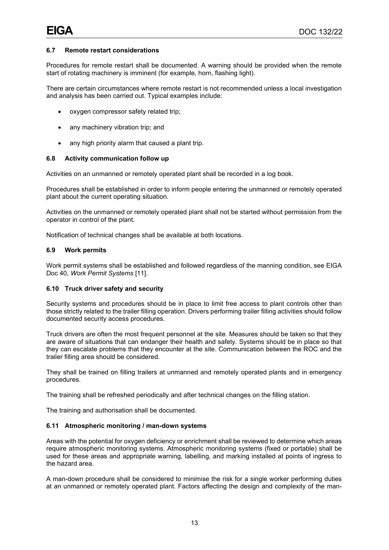# <span id="page-16-0"></span>**6.7 Remote restart considerations**

Procedures for remote restart shall be documented. A warning should be provided when the remote start of rotating machinery is imminent (for example, horn, flashing light).

There are certain circumstances where remote restart is not recommended unless a local investigation and analysis has been carried out. Typical examples include:

- oxygen compressor safety related trip;
- any machinery vibration trip; and
- any high priority alarm that caused a plant trip.

# <span id="page-16-1"></span>**6.8 Activity communication follow up**

Activities on an unmanned or remotely operated plant shall be recorded in a log book.

Procedures shall be established in order to inform people entering the unmanned or remotely operated plant about the current operating situation.

Activities on the unmanned or remotely operated plant shall not be started without permission from the operator in control of the plant.

Notification of technical changes shall be available at both locations.

# <span id="page-16-2"></span>**6.9 Work permits**

Work permit systems shall be established and followed regardless of the manning condition, see EIGA Doc 40, *Work Permit Systems* [11].

# <span id="page-16-3"></span>**6.10 Truck driver safety and security**

Security systems and procedures should be in place to limit free access to plant controls other than those strictly related to the trailer filling operation. Drivers performing trailer filling activities should follow documented security access procedures.

Truck drivers are often the most frequent personnel at the site. Measures should be taken so that they are aware of situations that can endanger their health and safety. Systems should be in place so that they can escalate problems that they encounter at the site. Communication between the ROC and the trailer filling area should be considered.

They shall be trained on filling trailers at unmanned and remotely operated plants and in emergency procedures.

The training shall be refreshed periodically and after technical changes on the filling station.

The training and authorisation shall be documented.

# <span id="page-16-4"></span>**6.11 Atmospheric monitoring / man-down systems**

Areas with the potential for oxygen deficiency or enrichment shall be reviewed to determine which areas require atmospheric monitoring systems. Atmospheric monitoring systems (fixed or portable) shall be used for these areas and appropriate warning, labelling, and marking installed at points of ingress to the hazard area.

A man-down procedure shall be considered to minimise the risk for a single worker performing duties at an unmanned or remotely operated plant. Factors affecting the design and complexity of the man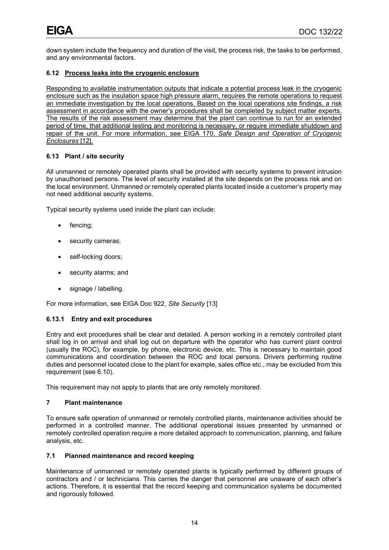down system include the frequency and duration of the visit, the process risk, the tasks to be performed, and any environmental factors.

# <span id="page-17-0"></span>**6.12 Process leaks into the cryogenic enclosure**

Responding to available instrumentation outputs that indicate a potential process leak in the cryogenic enclosure such as the insulation space high pressure alarm, requires the remote operations to request an immediate investigation by the local operations. Based on the local operations site findings, a risk assessment in accordance with the owner's procedures shall be completed by subject matter experts. The results of the risk assessment may determine that the plant can continue to run for an extended period of time, that additional testing and monitoring is necessary, or require immediate shutdown and repair of the unit. For more information, see EIGA 170, *Safe Design and Operation of Cryogenic Enclosures* [12].

# <span id="page-17-1"></span>**6.13 Plant / site security**

All unmanned or remotely operated plants shall be provided with security systems to prevent intrusion by unauthorised persons. The level of security installed at the site depends on the process risk and on the local environment. Unmanned or remotely operated plants located inside a customer's property may not need additional security systems.

Typical security systems used inside the plant can include:

- fencing;
- security cameras;
- self-locking doors;
- security alarms; and
- signage / labelling.

For more information, see EIGA Doc 922, *Site Security* [13]

# **6.13.1 Entry and exit procedures**

Entry and exit procedures shall be clear and detailed. A person working in a remotely controlled plant shall log in on arrival and shall log out on departure with the operator who has current plant control (usually the ROC), for example, by phone, electronic device, etc. This is necessary to maintain good communications and coordination between the ROC and local persons. Drivers performing routine duties and personnel located close to the plant for example, sales office etc., may be excluded from this requirement (see 6.10).

This requirement may not apply to plants that are only remotely monitored.

# <span id="page-17-2"></span>**7 Plant maintenance**

To ensure safe operation of unmanned or remotely controlled plants, maintenance activities should be performed in a controlled manner. The additional operational issues presented by unmanned or remotely controlled operation require a more detailed approach to communication, planning, and failure analysis, etc.

# <span id="page-17-3"></span>**7.1 Planned maintenance and record keeping**

Maintenance of unmanned or remotely operated plants is typically performed by different groups of contractors and / or technicians. This carries the danger that personnel are unaware of each other's actions. Therefore, it is essential that the record keeping and communication systems be documented and rigorously followed.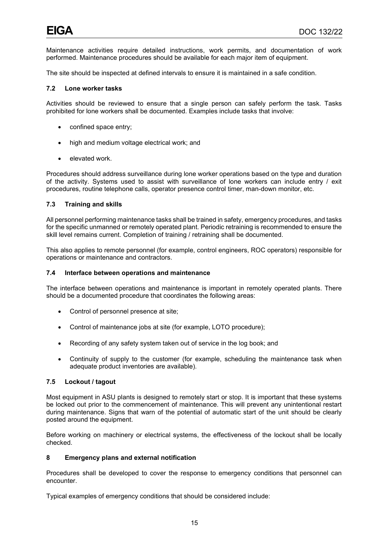Maintenance activities require detailed instructions, work permits, and documentation of work performed. Maintenance procedures should be available for each major item of equipment.

The site should be inspected at defined intervals to ensure it is maintained in a safe condition.

# <span id="page-18-0"></span>**7.2 Lone worker tasks**

Activities should be reviewed to ensure that a single person can safely perform the task. Tasks prohibited for lone workers shall be documented. Examples include tasks that involve:

- confined space entry;
- high and medium voltage electrical work; and
- elevated work.

Procedures should address surveillance during lone worker operations based on the type and duration of the activity. Systems used to assist with surveillance of lone workers can include entry / exit procedures, routine telephone calls, operator presence control timer, man-down monitor, etc.

# <span id="page-18-1"></span>**7.3 Training and skills**

All personnel performing maintenance tasks shall be trained in safety, emergency procedures, and tasks for the specific unmanned or remotely operated plant. Periodic retraining is recommended to ensure the skill level remains current. Completion of training / retraining shall be documented.

This also applies to remote personnel (for example, control engineers, ROC operators) responsible for operations or maintenance and contractors.

#### <span id="page-18-2"></span>**7.4 Interface between operations and maintenance**

The interface between operations and maintenance is important in remotely operated plants. There should be a documented procedure that coordinates the following areas:

- Control of personnel presence at site;
- Control of maintenance jobs at site (for example, LOTO procedure);
- Recording of any safety system taken out of service in the log book; and
- Continuity of supply to the customer (for example, scheduling the maintenance task when adequate product inventories are available).

#### <span id="page-18-3"></span>**7.5 Lockout / tagout**

Most equipment in ASU plants is designed to remotely start or stop. It is important that these systems be locked out prior to the commencement of maintenance. This will prevent any unintentional restart during maintenance. Signs that warn of the potential of automatic start of the unit should be clearly posted around the equipment.

Before working on machinery or electrical systems, the effectiveness of the lockout shall be locally checked.

#### <span id="page-18-4"></span>**8 Emergency plans and external notification**

Procedures shall be developed to cover the response to emergency conditions that personnel can encounter.

Typical examples of emergency conditions that should be considered include: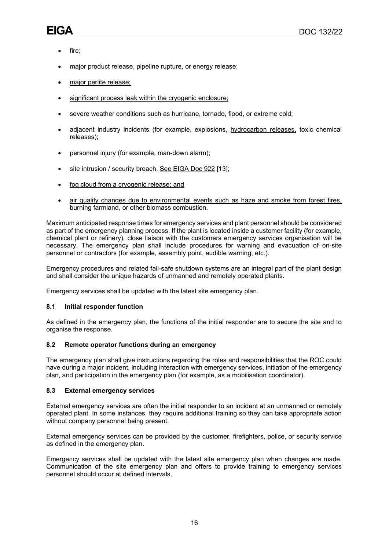- fire;
- major product release, pipeline rupture, or energy release;
- major perlite release;
- significant process leak within the cryogenic enclosure;
- severe weather conditions such as hurricane, tornado, flood, or extreme cold;
- adjacent industry incidents (for example, explosions, hydrocarbon releases, toxic chemical releases);
- personnel injury (for example, man-down alarm);
- site intrusion / security breach. See EIGA Doc 922 [13];
- fog cloud from a cryogenic release; and
- air quality changes due to environmental events such as haze and smoke from forest fires, burning farmland, or other biomass combustion.

Maximum anticipated response times for emergency services and plant personnel should be considered as part of the emergency planning process. If the plant is located inside a customer facility (for example, chemical plant or refinery), close liaison with the customers emergency services organisation will be necessary. The emergency plan shall include procedures for warning and evacuation of on-site personnel or contractors (for example, assembly point, audible warning, etc.).

Emergency procedures and related fail-safe shutdown systems are an integral part of the plant design and shall consider the unique hazards of unmanned and remotely operated plants.

Emergency services shall be updated with the latest site emergency plan.

# <span id="page-19-0"></span>**8.1 Initial responder function**

As defined in the emergency plan, the functions of the initial responder are to secure the site and to organise the response.

# <span id="page-19-1"></span>**8.2 Remote operator functions during an emergency**

The emergency plan shall give instructions regarding the roles and responsibilities that the ROC could have during a major incident, including interaction with emergency services, initiation of the emergency plan, and participation in the emergency plan (for example, as a mobilisation coordinator).

#### <span id="page-19-2"></span>**8.3 External emergency services**

External emergency services are often the initial responder to an incident at an unmanned or remotely operated plant. In some instances, they require additional training so they can take appropriate action without company personnel being present.

External emergency services can be provided by the customer, firefighters, police, or security service as defined in the emergency plan.

Emergency services shall be updated with the latest site emergency plan when changes are made. Communication of the site emergency plan and offers to provide training to emergency services personnel should occur at defined intervals.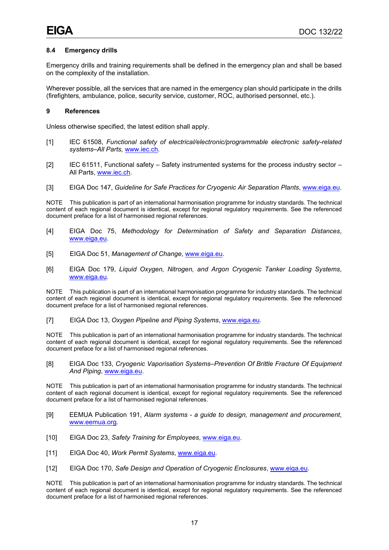# <span id="page-20-0"></span>**8.4 Emergency drills**

Emergency drills and training requirements shall be defined in the emergency plan and shall be based on the complexity of the installation.

Wherever possible, all the services that are named in the emergency plan should participate in the drills (firefighters, ambulance, police, security service, customer, ROC, authorised personnel, etc.).

#### <span id="page-20-1"></span>**9 References**

Unless otherwise specified, the latest edition shall apply.

- [1] IEC 61508, *Functional safety of electrical/electronic/programmable electronic safety-related systems–All Parts,* [www.iec.ch.](http://www.iec.ch/)
- [2] IEC 61511, Functional safety Safety instrumented systems for the process industry sector All Parts, [www.iec.ch.](http://www.iec.ch/)
- [3] EIGA Doc 147, *Guideline for Safe Practices for Cryogenic Air Separation Plants*, [www.eiga.eu.](http://www.eiga.eu/)

NOTE This publication is part of an international harmonisation programme for industry standards. The technical content of each regional document is identical, except for regional regulatory requirements. See the referenced document preface for a list of harmonised regional references.

- [4] EIGA Doc 75, *Methodology for Determination of Safety and Separation Distances*, [www.eiga.eu.](http://www.eiga.eu/)
- [5] EIGA Doc 51, *Management of Change*, [www.eiga.eu.](http://www.eiga.eu/)
- [6] EIGA Doc 179, *Liquid Oxygen, Nitrogen, and Argon Cryogenic Tanker Loading Systems*, [www.eiga.eu.](http://www.eiga.eu/)

NOTE This publication is part of an international harmonisation programme for industry standards. The technical content of each regional document is identical, except for regional regulatory requirements. See the referenced document preface for a list of harmonised regional references.

[7] EIGA Doc 13, *Oxygen Pipeline and Piping Systems*, [www.eiga.eu.](http://www.eiga.eu/)

NOTE This publication is part of an international harmonisation programme for industry standards. The technical content of each regional document is identical, except for regional regulatory requirements. See the referenced document preface for a list of harmonised regional references.

[8] EIGA Doc 133, *Cryogenic Vaporisation Systems–Prevention Of Brittle Fracture Of Equipment And Piping*, [www.eiga.eu.](http://www.eiga.eu/)

NOTE This publication is part of an international harmonisation programme for industry standards. The technical content of each regional document is identical, except for regional regulatory requirements. See the referenced document preface for a list of harmonised regional references.

- [9] EEMUA Publication 191, *Alarm systems - a guide to design, management and procurement*, [www.eemua.org.](http://www.eemua.org/)
- [10] EIGA Doc 23, *Safety Training for Employees*, [www.eiga.eu.](http://www.eiga.eu/)
- [11] EIGA Doc 40, *Work Permit Systems*, [www.eiga.eu.](http://www.eiga.eu/)
- [12] EIGA Doc 170, *Safe Design and Operation of Cryogenic Enclosures*, [www.eiga.eu.](http://www.eiga.eu/)

NOTE This publication is part of an international harmonisation programme for industry standards. The technical content of each regional document is identical, except for regional regulatory requirements. See the referenced document preface for a list of harmonised regional references.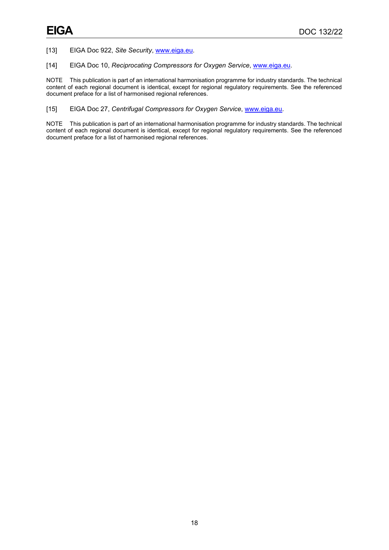[13] EIGA Doc 922, *Site Security*, [www.eiga.eu.](http://www.eiga.eu/)

[14] EIGA Doc 10, *Reciprocating Compressors for Oxygen Service*, [www.eiga.eu.](http://www.eiga.eu/)

NOTE This publication is part of an international harmonisation programme for industry standards. The technical content of each regional document is identical, except for regional regulatory requirements. See the referenced document preface for a list of harmonised regional references.

[15] EIGA Doc 27, *Centrifugal Compressors for Oxygen Service*, [www.eiga.eu.](http://www.eiga.eu/)

NOTE This publication is part of an international harmonisation programme for industry standards. The technical content of each regional document is identical, except for regional regulatory requirements. See the referenced document preface for a list of harmonised regional references.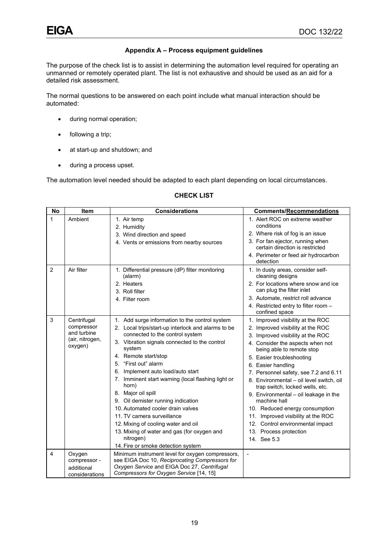# **Appendix A – Process equipment guidelines**

<span id="page-22-0"></span>The purpose of the check list is to assist in determining the automation level required for operating an unmanned or remotely operated plant. The list is not exhaustive and should be used as an aid for a detailed risk assessment.

The normal questions to be answered on each point include what manual interaction should be automated:

- during normal operation;
- following a trip;
- at start-up and shutdown; and
- during a process upset.

The automation level needed should be adapted to each plant depending on local circumstances.

| <b>No</b>               | <b>Item</b>                                                            | <b>Considerations</b>                                                                                                                                                                                                                                                                                                                                                                                                                                                                                                                                                                                                       | <b>Comments/Recommendations</b>                                                                                                                                                                                                                                                                                                                                                                                                                                                                                                                                       |
|-------------------------|------------------------------------------------------------------------|-----------------------------------------------------------------------------------------------------------------------------------------------------------------------------------------------------------------------------------------------------------------------------------------------------------------------------------------------------------------------------------------------------------------------------------------------------------------------------------------------------------------------------------------------------------------------------------------------------------------------------|-----------------------------------------------------------------------------------------------------------------------------------------------------------------------------------------------------------------------------------------------------------------------------------------------------------------------------------------------------------------------------------------------------------------------------------------------------------------------------------------------------------------------------------------------------------------------|
| $\mathbf{1}$            | Ambient                                                                | 1. Air temp<br>2. Humidity<br>3. Wind direction and speed<br>4. Vents or emissions from nearby sources                                                                                                                                                                                                                                                                                                                                                                                                                                                                                                                      | 1. Alert ROC on extreme weather<br>conditions<br>2. Where risk of fog is an issue<br>3. For fan ejector, running when<br>certain direction is restricted                                                                                                                                                                                                                                                                                                                                                                                                              |
|                         |                                                                        |                                                                                                                                                                                                                                                                                                                                                                                                                                                                                                                                                                                                                             | 4. Perimeter or feed air hydrocarbon<br>detection                                                                                                                                                                                                                                                                                                                                                                                                                                                                                                                     |
| $\overline{2}$          | Air filter                                                             | 1. Differential pressure (dP) filter monitoring<br>(alarm)<br>2. Heaters<br>3. Roll filter<br>4. Filter room                                                                                                                                                                                                                                                                                                                                                                                                                                                                                                                | 1. In dusty areas, consider self-<br>cleaning designs<br>2. For locations where snow and ice<br>can plug the filter inlet<br>3. Automate, restrict roll advance<br>4. Restricted entry to filter room -<br>confined space                                                                                                                                                                                                                                                                                                                                             |
| 3                       | Centrifugal<br>compressor<br>and turbine<br>(air, nitrogen,<br>oxygen) | 1. Add surge information to the control system<br>2. Local trips/start-up interlock and alarms to be<br>connected to the control system<br>3. Vibration signals connected to the control<br>system<br>4. Remote start/stop<br>5. "First out" alarm<br>Implement auto load/auto start<br>7. Imminent start warning (local flashing light or<br>horn)<br>8. Major oil spill<br>9. Oil demister running indication<br>10. Automated cooler drain valves<br>11. TV camera surveillance<br>12. Mixing of cooling water and oil<br>13. Mixing of water and gas (for oxygen and<br>nitrogen)<br>14. Fire or smoke detection system | 1. Improved visibility at the ROC<br>2. Improved visibility at the ROC<br>3. Improved visibility at the ROC<br>4. Consider the aspects when not<br>being able to remote stop<br>5. Easier troubleshooting<br>6. Easier handling<br>7. Personnel safety, see 7.2 and 6.11<br>8. Environmental - oil level switch, oil<br>trap switch, locked wells, etc.<br>9. Environmental - oil leakage in the<br>machine hall<br>10. Reduced energy consumption<br>11. Improved visibility at the ROC<br>12. Control environmental impact<br>13. Process protection<br>14. See 5.3 |
| $\overline{\mathbf{4}}$ | Oxygen<br>compressor -<br>additional<br>considerations                 | Minimum instrument level for oxygen compressors,<br>see EIGA Doc 10, Reciprocating Compressors for<br>Oxygen Service and EIGA Doc 27, Centrifugal<br>Compressors for Oxygen Service [14, 15]                                                                                                                                                                                                                                                                                                                                                                                                                                |                                                                                                                                                                                                                                                                                                                                                                                                                                                                                                                                                                       |

# **CHECK LIST**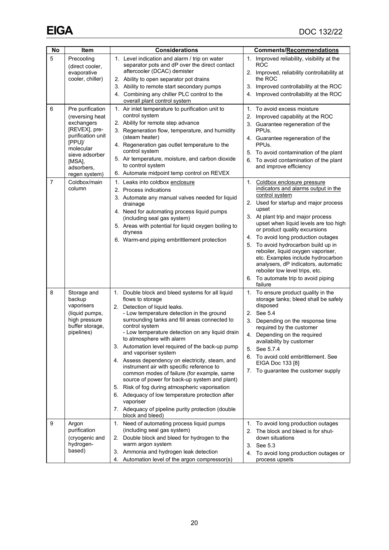| No             | Item                                                                                                                                                     | <b>Considerations</b>                                                                                                                                                                                                                                                                                                                                                                                                                                                                                                                                                                                                                                                                                                                                                      | <b>Comments/Recommendations</b>                                                                                                                                                                                                                                                                                                                                                                                                                                                                                                                      |
|----------------|----------------------------------------------------------------------------------------------------------------------------------------------------------|----------------------------------------------------------------------------------------------------------------------------------------------------------------------------------------------------------------------------------------------------------------------------------------------------------------------------------------------------------------------------------------------------------------------------------------------------------------------------------------------------------------------------------------------------------------------------------------------------------------------------------------------------------------------------------------------------------------------------------------------------------------------------|------------------------------------------------------------------------------------------------------------------------------------------------------------------------------------------------------------------------------------------------------------------------------------------------------------------------------------------------------------------------------------------------------------------------------------------------------------------------------------------------------------------------------------------------------|
| 5              | Precooling<br>(direct cooler,                                                                                                                            | 1. Level indication and alarm / trip on water<br>separator pots and dP over the direct contact                                                                                                                                                                                                                                                                                                                                                                                                                                                                                                                                                                                                                                                                             | 1. Improved reliability, visibility at the<br>ROC                                                                                                                                                                                                                                                                                                                                                                                                                                                                                                    |
|                | evaporative<br>cooler, chiller)                                                                                                                          | aftercooler (DCAC) demister<br>2. Ability to open separator pot drains                                                                                                                                                                                                                                                                                                                                                                                                                                                                                                                                                                                                                                                                                                     | 2. Improved, reliability controllability at<br>the ROC                                                                                                                                                                                                                                                                                                                                                                                                                                                                                               |
|                |                                                                                                                                                          | 3. Ability to remote start secondary pumps                                                                                                                                                                                                                                                                                                                                                                                                                                                                                                                                                                                                                                                                                                                                 | 3. Improved controllability at the ROC                                                                                                                                                                                                                                                                                                                                                                                                                                                                                                               |
|                |                                                                                                                                                          | 4. Combining any chiller PLC control to the<br>overall plant control system                                                                                                                                                                                                                                                                                                                                                                                                                                                                                                                                                                                                                                                                                                | 4. Improved controllability at the ROC                                                                                                                                                                                                                                                                                                                                                                                                                                                                                                               |
| 6              | Pre purification<br>(reversing heat<br>exchangers<br>[REVEX], pre-<br>purification unit<br>[PPU]/<br>molecular<br>sieve adsorber<br>[MSA],<br>adsorbers, | 1. Air inlet temperature to purification unit to<br>control system<br>2. Ability for remote step advance<br>3. Regeneration flow, temperature, and humidity<br>(steam heater)<br>4. Regeneration gas outlet temperature to the<br>control system<br>5. Air temperature, moisture, and carbon dioxide<br>to control system<br>6. Automate midpoint temp control on REVEX                                                                                                                                                                                                                                                                                                                                                                                                    | 1. To avoid excess moisture<br>2. Improved capability at the ROC<br>3. Guarantee regeneration of the<br>PPU <sub>s</sub><br>4. Guarantee regeneration of the<br>PPU <sub>s</sub><br>5. To avoid contamination of the plant<br>6. To avoid contamination of the plant<br>and improve efficiency                                                                                                                                                                                                                                                       |
| $\overline{7}$ | regen system)<br>Coldbox/main<br>column                                                                                                                  | 1. Leaks into coldbox enclosure<br>2. Process indications<br>3. Automate any manual valves needed for liquid<br>drainage<br>4. Need for automating process liquid pumps<br>(including seal gas system)<br>5. Areas with potential for liquid oxygen boiling to<br>dryness<br>6. Warm-end piping embrittlement protection                                                                                                                                                                                                                                                                                                                                                                                                                                                   | $1_{-}$<br>Coldbox enclosure pressure<br>indicators and alarms output in the<br>control system<br>2. Used for startup and major process<br>upset<br>3. At plant trip and major process<br>upset when liquid levels are too high<br>or product quality excursions<br>4. To avoid long production outages<br>5. To avoid hydrocarbon build up in<br>reboiler, liquid oxygen vaporiser,<br>etc. Examples include hydrocarbon<br>analysers, dP indicators, automatic<br>reboiler low level trips, etc.<br>6. To automate trip to avoid piping<br>failure |
| 8              | Storage and<br>backup<br>vaporisers<br>(liquid pumps,<br>high pressure<br>buffer storage,<br>pipelines)                                                  | 1. Double block and bleed systems for all liquid<br>flows to storage<br>2. Detection of liquid leaks.<br>- Low temperature detection in the ground<br>surrounding tanks and fill areas connected to<br>control system<br>- Low temperature detection on any liquid drain<br>to atmosphere with alarm<br>3. Automation level required of the back-up pump<br>and vaporiser system<br>4. Assess dependency on electricity, steam, and<br>instrument air with specific reference to<br>common modes of failure (for example, same<br>source of power for back-up system and plant)<br>5. Risk of fog during atmospheric vaporisation<br>6. Adequacy of low temperature protection after<br>vaporiser<br>7. Adequacy of pipeline purity protection (double<br>block and bleed) | 1. To ensure product quality in the<br>storage tanks; bleed shall be safely<br>disposed<br>2. See 5.4<br>3. Depending on the response time<br>required by the customer<br>Depending on the required<br>4.<br>availability by customer<br>5. See 5.7.4<br>6. To avoid cold embrittlement. See<br>EIGA Doc 133 [8]<br>To guarantee the customer supply<br>7.                                                                                                                                                                                           |
| 9              | Argon<br>purification<br>(cryogenic and<br>hydrogen-<br>based)                                                                                           | 1. Need of automating process liquid pumps<br>(including seal gas system)<br>2. Double block and bleed for hydrogen to the<br>warm argon system<br>3. Ammonia and hydrogen leak detection<br>Automation level of the argon compressor(s)<br>4.                                                                                                                                                                                                                                                                                                                                                                                                                                                                                                                             | 1. To avoid long production outages<br>2. The block and bleed is for shut-<br>down situations<br>3. See 5.3<br>4. To avoid long production outages or<br>process upsets                                                                                                                                                                                                                                                                                                                                                                              |